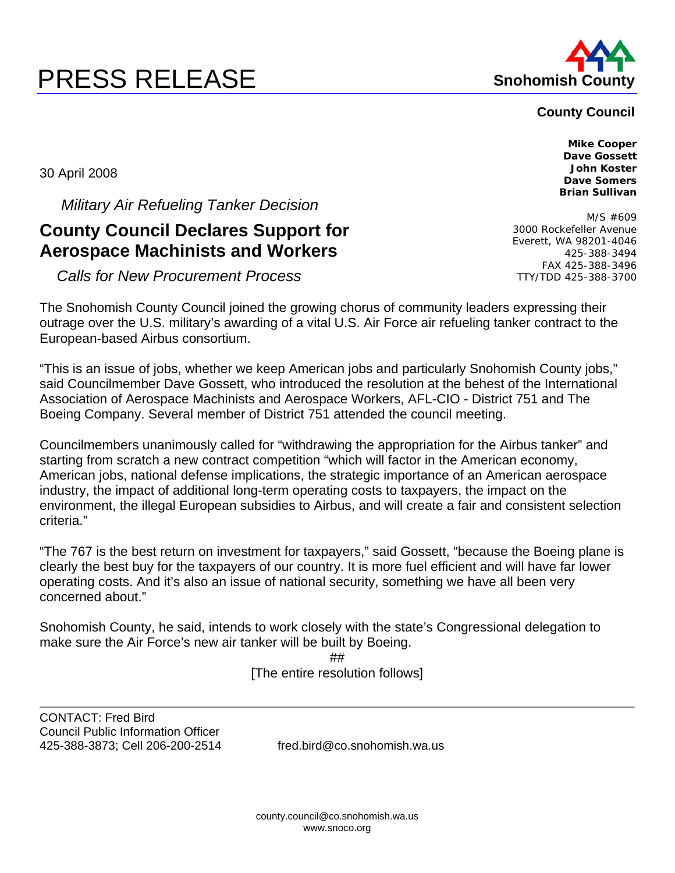# **PRESS RELEASE Shohomish County**



## **County Council**

**Mike Cooper Dave Gossett John Koster** 

30 April 2008

 *Military Air Refueling Tanker Decision* 

## **County Council Declares Support for Aerospace Machinists and Workers**

 *Calls for New Procurement Process* 

The Snohomish County Council joined the growing chorus of community leaders expressing their outrage over the U.S. military's awarding of a vital U.S. Air Force air refueling tanker contract to the European-based Airbus consortium.

"This is an issue of jobs, whether we keep American jobs and particularly Snohomish County jobs," said Councilmember Dave Gossett, who introduced the resolution at the behest of the International Association of Aerospace Machinists and Aerospace Workers, AFL-CIO - District 751 and The Boeing Company. Several member of District 751 attended the council meeting.

Councilmembers unanimously called for "withdrawing the appropriation for the Airbus tanker" and starting from scratch a new contract competition "which will factor in the American economy, American jobs, national defense implications, the strategic importance of an American aerospace industry, the impact of additional long-term operating costs to taxpayers, the impact on the environment, the illegal European subsidies to Airbus, and will create a fair and consistent selection criteria."

"The 767 is the best return on investment for taxpayers," said Gossett, "because the Boeing plane is clearly the best buy for the taxpayers of our country. It is more fuel efficient and will have far lower operating costs. And it's also an issue of national security, something we have all been very concerned about."

Snohomish County, he said, intends to work closely with the state's Congressional delegation to make sure the Air Force's new air tanker will be built by Boeing.

## [The entire resolution follows]

CONTACT: Fred Bird Council Public Information Officer 425-388-3873; Cell 206-200-2514 fred.bird@co.snohomish.wa.us

**Dave Somers Brian Sullivan**  M/S #609 3000 Rockefeller Avenue Everett, WA 98201-4046

425-388-3494 FAX 425-388-3496 TTY/TDD 425-388-3700